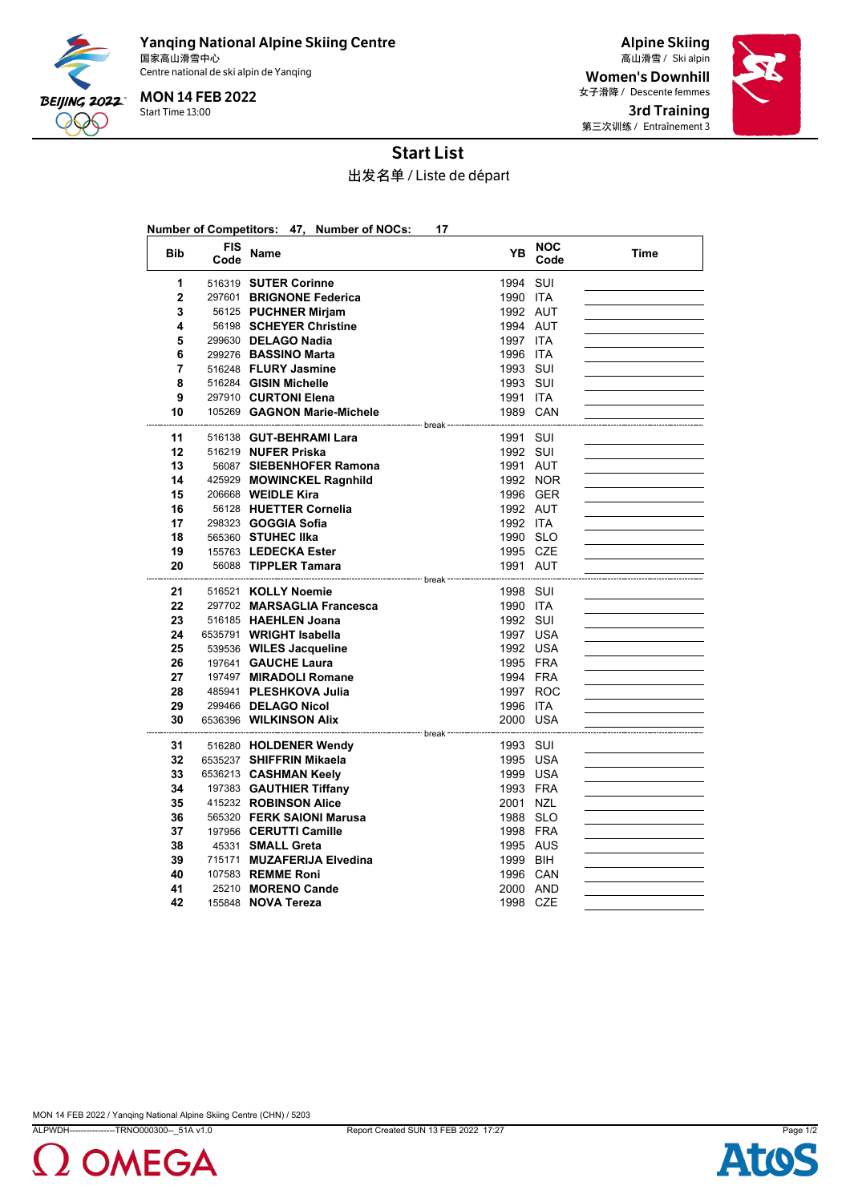

Yanqing National Alpine Skiing Centre 国家高山滑雪中心 Ski alpin 高山滑雪 / Centre national de ski alpin de Yanqing

Start Time 13:00 MON 14 FEB 2022

Alpine Skiing Women's Downhill 女子滑降 / Descente femmes 3rd Training 第三次训练 / Entraînement 3



## Start List

出发名单 / Liste de départ

|              |                    | Number of Competitors: 47, Number of NOCs:         | 17                                 |                    |      |
|--------------|--------------------|----------------------------------------------------|------------------------------------|--------------------|------|
| <b>Bib</b>   | <b>FIS</b><br>Code | Name                                               | YB                                 | <b>NOC</b><br>Code | Time |
| 1            |                    | 516319 SUTER Corinne                               | 1994 SUI                           |                    |      |
| $\mathbf{2}$ |                    | 297601 BRIGNONE Federica                           | 1990 ITA                           |                    |      |
| 3            |                    | 56125 PUCHNER Mirjam                               | 1992 AUT                           |                    |      |
| 4            |                    | 56198 SCHEYER Christine                            | 1994 AUT                           |                    |      |
| 5            |                    | 299630 DELAGO Nadia                                | 1997 ITA                           |                    |      |
| 6            |                    | 299276 BASSINO Marta                               | 1996 ITA                           |                    |      |
| 7            |                    | 516248 FLURY Jasmine                               | 1993 SUI                           |                    |      |
| 8            |                    | 516284 GISIN Michelle                              | 1993 SUI                           |                    |      |
| 9            |                    | 297910 CURTONI Elena                               | 1991 ITA                           |                    |      |
| 10           |                    | 105269 GAGNON Marie-Michele                        | 1989 CAN                           |                    |      |
| 11           |                    | 516138 GUT-BEHRAMI Lara                            | ---- break -<br>1991 SUI           |                    |      |
| 12           |                    | 516219 NUFER Priska                                | 1992 SUI                           |                    |      |
| 13           |                    | 56087 SIEBENHOFER Ramona                           | 1991 AUT                           |                    |      |
| 14           |                    | 425929 MOWINCKEL Ragnhild                          | 1992 NOR                           |                    |      |
| 15           |                    | 206668 WEIDLE Kira                                 |                                    | 1996 GER           |      |
| 16           |                    | 56128 HUETTER Cornelia                             | 1992 AUT                           |                    |      |
| 17           |                    | 298323 <b>GOGGIA Sofia</b>                         | 1992 ITA                           |                    |      |
| 18           |                    | 565360 STUHEC IIka                                 | 1990 SLO                           |                    |      |
| 19           |                    | 155763 LEDECKA Ester                               | 1995 CZE                           |                    |      |
| 20           |                    | 56088 TIPPLER Tamara                               | 1991 AUT                           |                    |      |
|              |                    | ---------------------- break                       | ---------------------------------- |                    |      |
| 21<br>22     |                    | 516521 KOLLY Noemie                                | 1998 SUI                           |                    |      |
| 23           |                    | 297702 MARSAGLIA Francesca<br>516185 HAEHLEN Joana | 1990 ITA                           |                    |      |
| 24           |                    | 6535791 WRIGHT Isabella                            | 1992 SUI<br>1997 USA               |                    |      |
| 25           |                    | 539536 WILES Jacqueline                            | 1992 USA                           |                    |      |
| 26           |                    | 197641 GAUCHE Laura                                | 1995 FRA                           |                    |      |
| 27           |                    | 197497 MIRADOLI Romane                             | 1994 FRA                           |                    |      |
| 28           |                    | 485941 PLESHKOVA Julia                             |                                    | 1997 ROC           |      |
| 29           |                    | 299466 DELAGO Nicol                                | 1996 ITA                           |                    |      |
| 30           |                    | 6536396 WILKINSON Alix                             | 2000 USA                           |                    |      |
|              |                    | ------------------------ break -----------------   |                                    |                    |      |
| 31           |                    | 516280 HOLDENER Wendy                              | 1993 SUI                           |                    |      |
| 32           |                    | 6535237 SHIFFRIN Mikaela                           | 1995 USA                           |                    |      |
| 33           |                    | 6536213 CASHMAN Keely                              | 1999 USA                           |                    |      |
| 34           |                    | 197383 GAUTHIER Tiffany                            | 1993 FRA                           |                    |      |
| 35           |                    | 415232 ROBINSON Alice                              | 2001 NZL                           |                    |      |
| 36           |                    | 565320 FERK SAIONI Marusa                          | 1988 SLO                           |                    |      |
| 37           |                    | 197956 CERUTTI Camille                             | 1998 FRA                           |                    |      |
| 38           |                    | 45331 SMALL Greta                                  | 1995 AUS                           |                    |      |
| 39           |                    | 715171 MUZAFERIJA Elvedina                         | 1999 BIH                           |                    |      |
| 40           |                    | 107583 REMME Roni                                  | 1996 CAN                           |                    |      |
| 41           |                    | 25210 MORENO Cande                                 | 2000 AND                           |                    |      |
| 42           |                    | 155848 <b>NOVA Tereza</b>                          | 1998 CZE                           |                    |      |

MON 14 FEB 2022 / Yanqing National Alpine Skiing Centre (CHN) / 5203